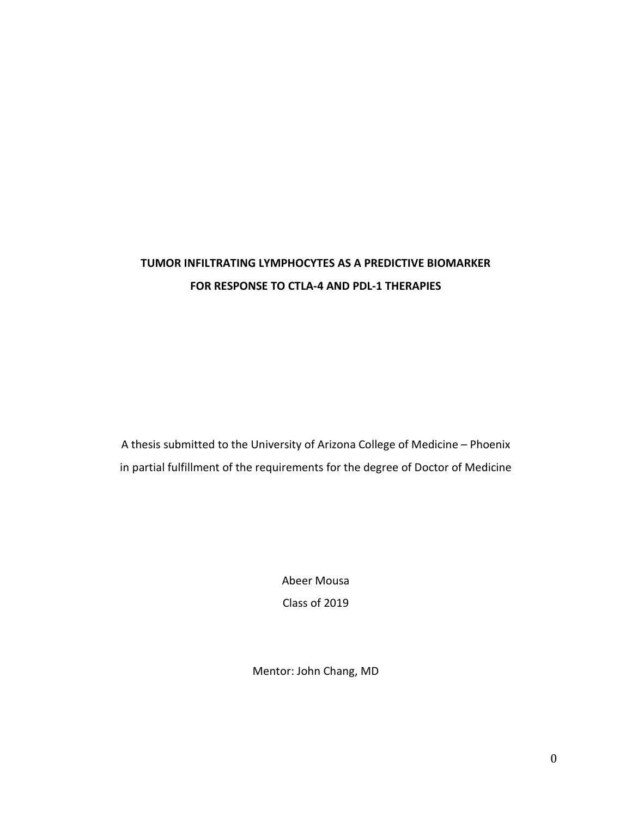# **TUMOR INFILTRATING LYMPHOCYTES AS A PREDICTIVE BIOMARKER FOR RESPONSE TO CTLA-4 AND PDL-1 THERAPIES**

A thesis submitted to the University of Arizona College of Medicine – Phoenix in partial fulfillment of the requirements for the degree of Doctor of Medicine

> Abeer Mousa Class of 2019

Mentor: John Chang, MD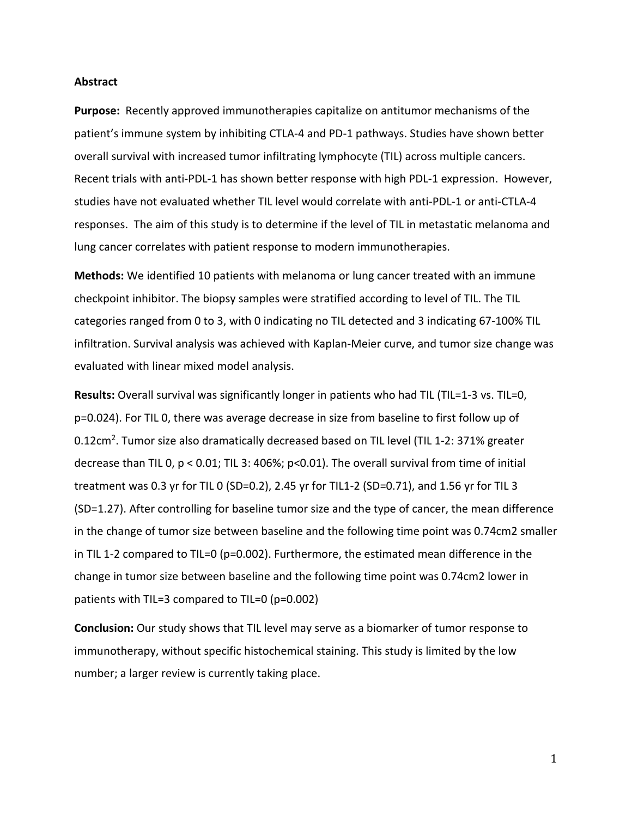#### **Abstract**

**Purpose:** Recently approved immunotherapies capitalize on antitumor mechanisms of the patient's immune system by inhibiting CTLA-4 and PD-1 pathways. Studies have shown better overall survival with increased tumor infiltrating lymphocyte (TIL) across multiple cancers. Recent trials with anti-PDL-1 has shown better response with high PDL-1 expression. However, studies have not evaluated whether TIL level would correlate with anti-PDL-1 or anti-CTLA-4 responses. The aim of this study is to determine if the level of TIL in metastatic melanoma and lung cancer correlates with patient response to modern immunotherapies.

**Methods:** We identified 10 patients with melanoma or lung cancer treated with an immune checkpoint inhibitor. The biopsy samples were stratified according to level of TIL. The TIL categories ranged from 0 to 3, with 0 indicating no TIL detected and 3 indicating 67-100% TIL infiltration. Survival analysis was achieved with Kaplan-Meier curve, and tumor size change was evaluated with linear mixed model analysis.

**Results:** Overall survival was significantly longer in patients who had TIL (TIL=1-3 vs. TIL=0, p=0.024). For TIL 0, there was average decrease in size from baseline to first follow up of 0.12cm<sup>2</sup>. Tumor size also dramatically decreased based on TIL level (TIL 1-2: 371% greater decrease than TIL 0,  $p < 0.01$ ; TIL 3: 406%;  $p < 0.01$ ). The overall survival from time of initial treatment was 0.3 yr for TIL 0 (SD=0.2), 2.45 yr for TIL1-2 (SD=0.71), and 1.56 yr for TIL 3 (SD=1.27). After controlling for baseline tumor size and the type of cancer, the mean difference in the change of tumor size between baseline and the following time point was 0.74cm2 smaller in TIL 1-2 compared to TIL=0 (p=0.002). Furthermore, the estimated mean difference in the change in tumor size between baseline and the following time point was 0.74cm2 lower in patients with TIL=3 compared to TIL=0 (p=0.002)

**Conclusion:** Our study shows that TIL level may serve as a biomarker of tumor response to immunotherapy, without specific histochemical staining. This study is limited by the low number; a larger review is currently taking place.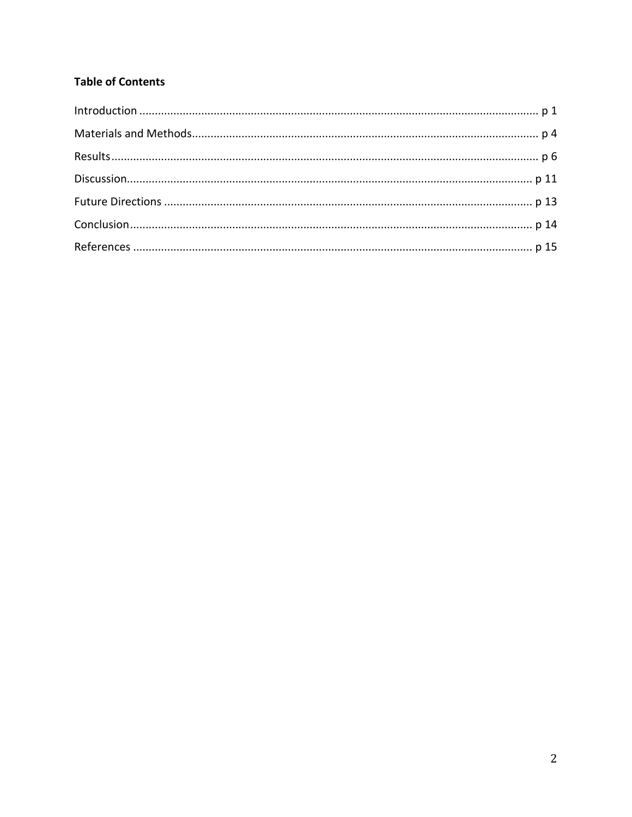## **Table of Contents**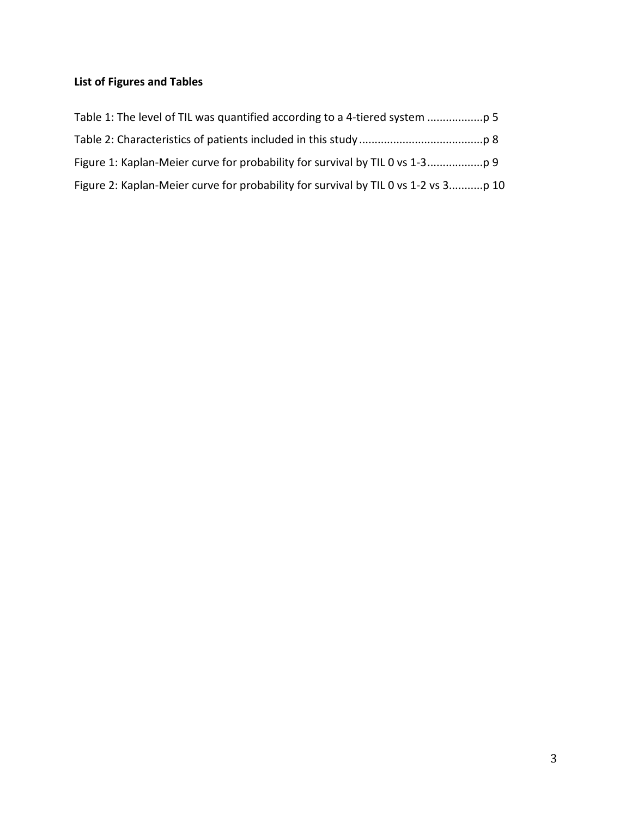## **List of Figures and Tables**

| Figure 2: Kaplan-Meier curve for probability for survival by TIL 0 vs 1-2 vs 3p 10 |  |
|------------------------------------------------------------------------------------|--|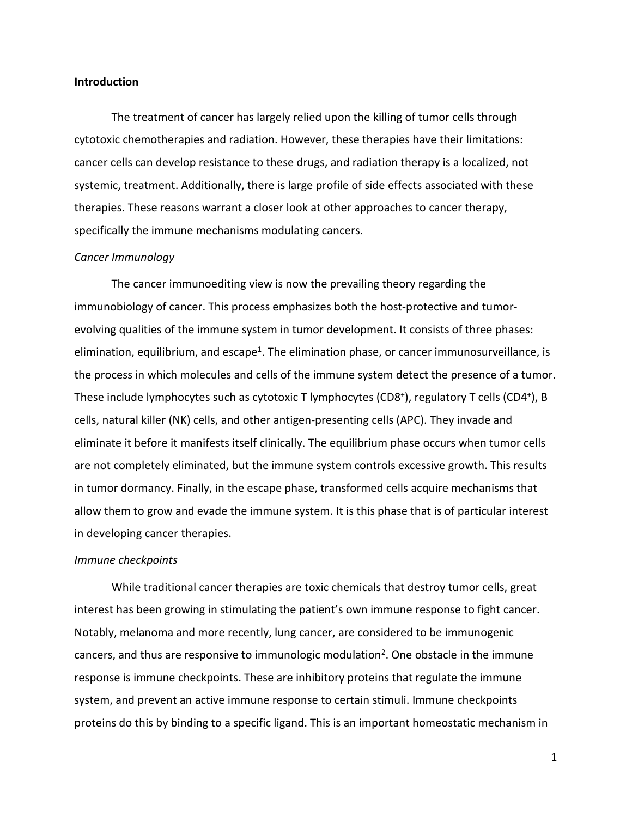#### **Introduction**

The treatment of cancer has largely relied upon the killing of tumor cells through cytotoxic chemotherapies and radiation. However, these therapies have their limitations: cancer cells can develop resistance to these drugs, and radiation therapy is a localized, not systemic, treatment. Additionally, there is large profile of side effects associated with these therapies. These reasons warrant a closer look at other approaches to cancer therapy, specifically the immune mechanisms modulating cancers.

#### *Cancer Immunology*

The cancer immunoediting view is now the prevailing theory regarding the immunobiology of cancer. This process emphasizes both the host-protective and tumorevolving qualities of the immune system in tumor development. It consists of three phases: elimination, equilibrium, and escape<sup>1</sup>. The elimination phase, or cancer immunosurveillance, is the process in which molecules and cells of the immune system detect the presence of a tumor. These include lymphocytes such as cytotoxic T lymphocytes (CD8+), regulatory T cells (CD4+), B cells, natural killer (NK) cells, and other antigen-presenting cells (APC). They invade and eliminate it before it manifests itself clinically. The equilibrium phase occurs when tumor cells are not completely eliminated, but the immune system controls excessive growth. This results in tumor dormancy. Finally, in the escape phase, transformed cells acquire mechanisms that allow them to grow and evade the immune system. It is this phase that is of particular interest in developing cancer therapies.

#### *Immune checkpoints*

While traditional cancer therapies are toxic chemicals that destroy tumor cells, great interest has been growing in stimulating the patient's own immune response to fight cancer. Notably, melanoma and more recently, lung cancer, are considered to be immunogenic cancers, and thus are responsive to immunologic modulation<sup>2</sup>. One obstacle in the immune response is immune checkpoints. These are inhibitory proteins that regulate the immune system, and prevent an active immune response to certain stimuli. Immune checkpoints proteins do this by binding to a specific ligand. This is an important homeostatic mechanism in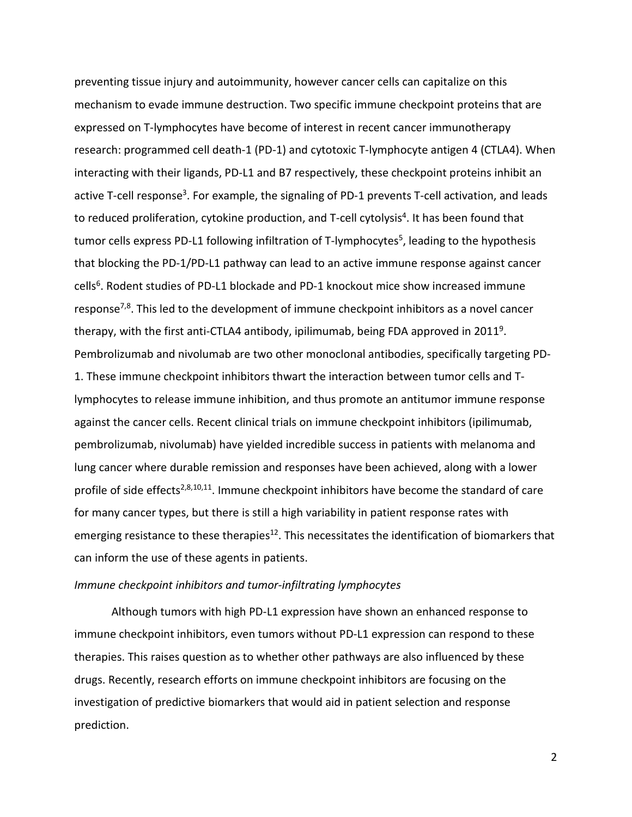preventing tissue injury and autoimmunity, however cancer cells can capitalize on this mechanism to evade immune destruction. Two specific immune checkpoint proteins that are expressed on T-lymphocytes have become of interest in recent cancer immunotherapy research: programmed cell death-1 (PD-1) and cytotoxic T-lymphocyte antigen 4 (CTLA4). When interacting with their ligands, PD-L1 and B7 respectively, these checkpoint proteins inhibit an active T-cell response<sup>3</sup>. For example, the signaling of PD-1 prevents T-cell activation, and leads to reduced proliferation, cytokine production, and T-cell cytolysis<sup>4</sup>. It has been found that tumor cells express PD-L1 following infiltration of T-lymphocytes<sup>5</sup>, leading to the hypothesis that blocking the PD-1/PD-L1 pathway can lead to an active immune response against cancer cells<sup>6</sup>. Rodent studies of PD-L1 blockade and PD-1 knockout mice show increased immune response<sup>7,8</sup>. This led to the development of immune checkpoint inhibitors as a novel cancer therapy, with the first anti-CTLA4 antibody, ipilimumab, being FDA approved in 20119. Pembrolizumab and nivolumab are two other monoclonal antibodies, specifically targeting PD-1. These immune checkpoint inhibitors thwart the interaction between tumor cells and Tlymphocytes to release immune inhibition, and thus promote an antitumor immune response against the cancer cells. Recent clinical trials on immune checkpoint inhibitors (ipilimumab, pembrolizumab, nivolumab) have yielded incredible success in patients with melanoma and lung cancer where durable remission and responses have been achieved, along with a lower profile of side effects<sup>2,8,10,11</sup>. Immune checkpoint inhibitors have become the standard of care for many cancer types, but there is still a high variability in patient response rates with emerging resistance to these therapies<sup>12</sup>. This necessitates the identification of biomarkers that can inform the use of these agents in patients.

#### *Immune checkpoint inhibitors and tumor-infiltrating lymphocytes*

Although tumors with high PD-L1 expression have shown an enhanced response to immune checkpoint inhibitors, even tumors without PD-L1 expression can respond to these therapies. This raises question as to whether other pathways are also influenced by these drugs. Recently, research efforts on immune checkpoint inhibitors are focusing on the investigation of predictive biomarkers that would aid in patient selection and response prediction.

2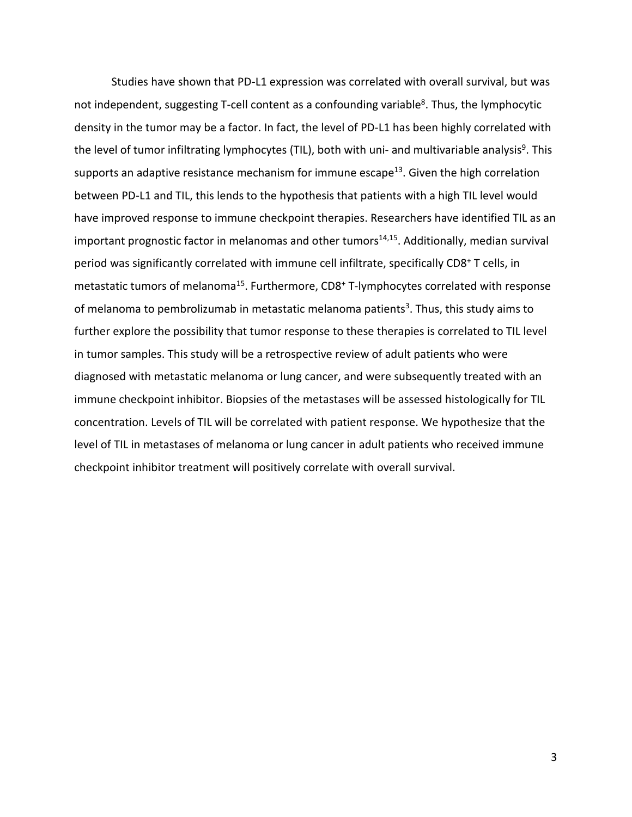Studies have shown that PD-L1 expression was correlated with overall survival, but was not independent, suggesting T-cell content as a confounding variable<sup>8</sup>. Thus, the lymphocytic density in the tumor may be a factor. In fact, the level of PD-L1 has been highly correlated with the level of tumor infiltrating lymphocytes (TIL), both with uni- and multivariable analysis<sup>9</sup>. This supports an adaptive resistance mechanism for immune escape<sup>13</sup>. Given the high correlation between PD-L1 and TIL, this lends to the hypothesis that patients with a high TIL level would have improved response to immune checkpoint therapies. Researchers have identified TIL as an important prognostic factor in melanomas and other tumors $14,15$ . Additionally, median survival period was significantly correlated with immune cell infiltrate, specifically CD8+ T cells, in metastatic tumors of melanoma<sup>15</sup>. Furthermore, CD8<sup>+</sup> T-lymphocytes correlated with response of melanoma to pembrolizumab in metastatic melanoma patients<sup>3</sup>. Thus, this study aims to further explore the possibility that tumor response to these therapies is correlated to TIL level in tumor samples. This study will be a retrospective review of adult patients who were diagnosed with metastatic melanoma or lung cancer, and were subsequently treated with an immune checkpoint inhibitor. Biopsies of the metastases will be assessed histologically for TIL concentration. Levels of TIL will be correlated with patient response. We hypothesize that the level of TIL in metastases of melanoma or lung cancer in adult patients who received immune checkpoint inhibitor treatment will positively correlate with overall survival.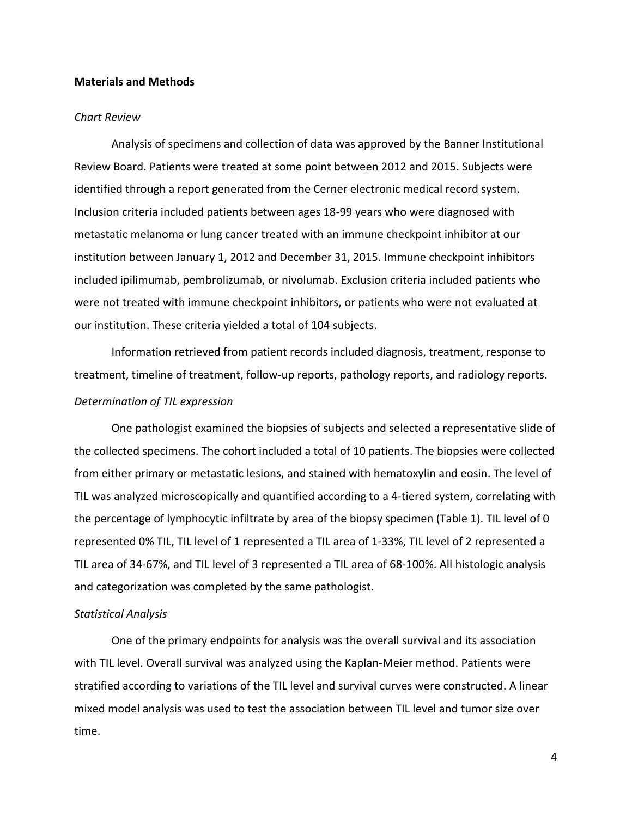#### **Materials and Methods**

#### *Chart Review*

Analysis of specimens and collection of data was approved by the Banner Institutional Review Board. Patients were treated at some point between 2012 and 2015. Subjects were identified through a report generated from the Cerner electronic medical record system. Inclusion criteria included patients between ages 18-99 years who were diagnosed with metastatic melanoma or lung cancer treated with an immune checkpoint inhibitor at our institution between January 1, 2012 and December 31, 2015. Immune checkpoint inhibitors included ipilimumab, pembrolizumab, or nivolumab. Exclusion criteria included patients who were not treated with immune checkpoint inhibitors, or patients who were not evaluated at our institution. These criteria yielded a total of 104 subjects.

Information retrieved from patient records included diagnosis, treatment, response to treatment, timeline of treatment, follow-up reports, pathology reports, and radiology reports.

#### *Determination of TIL expression*

One pathologist examined the biopsies of subjects and selected a representative slide of the collected specimens. The cohort included a total of 10 patients. The biopsies were collected from either primary or metastatic lesions, and stained with hematoxylin and eosin. The level of TIL was analyzed microscopically and quantified according to a 4-tiered system, correlating with the percentage of lymphocytic infiltrate by area of the biopsy specimen (Table 1). TIL level of 0 represented 0% TIL, TIL level of 1 represented a TIL area of 1-33%, TIL level of 2 represented a TIL area of 34-67%, and TIL level of 3 represented a TIL area of 68-100%. All histologic analysis and categorization was completed by the same pathologist.

### *Statistical Analysis*

One of the primary endpoints for analysis was the overall survival and its association with TIL level. Overall survival was analyzed using the Kaplan-Meier method. Patients were stratified according to variations of the TIL level and survival curves were constructed. A linear mixed model analysis was used to test the association between TIL level and tumor size over time.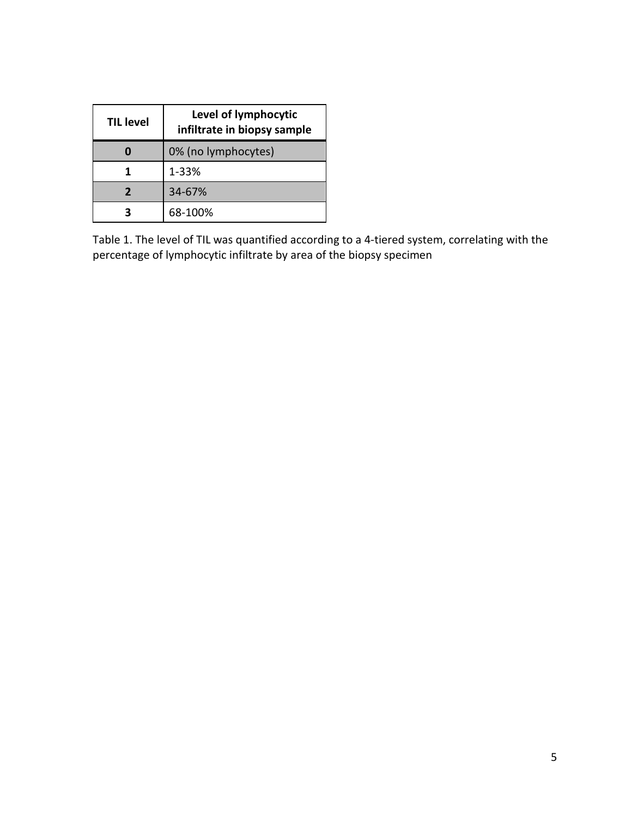| <b>TIL level</b> | Level of lymphocytic<br>infiltrate in biopsy sample |  |  |  |
|------------------|-----------------------------------------------------|--|--|--|
|                  | 0% (no lymphocytes)                                 |  |  |  |
|                  | 1-33%                                               |  |  |  |
|                  | 34-67%                                              |  |  |  |
|                  | 68-100%                                             |  |  |  |

Table 1. The level of TIL was quantified according to a 4-tiered system, correlating with the percentage of lymphocytic infiltrate by area of the biopsy specimen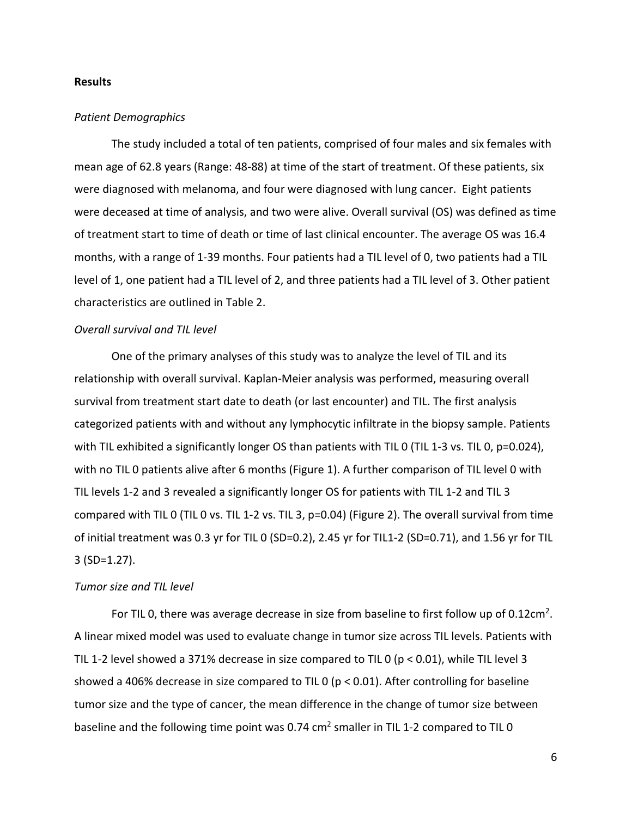#### **Results**

### *Patient Demographics*

The study included a total of ten patients, comprised of four males and six females with mean age of 62.8 years (Range: 48-88) at time of the start of treatment. Of these patients, six were diagnosed with melanoma, and four were diagnosed with lung cancer. Eight patients were deceased at time of analysis, and two were alive. Overall survival (OS) was defined as time of treatment start to time of death or time of last clinical encounter. The average OS was 16.4 months, with a range of 1-39 months. Four patients had a TIL level of 0, two patients had a TIL level of 1, one patient had a TIL level of 2, and three patients had a TIL level of 3. Other patient characteristics are outlined in Table 2.

#### *Overall survival and TIL level*

One of the primary analyses of this study was to analyze the level of TIL and its relationship with overall survival. Kaplan-Meier analysis was performed, measuring overall survival from treatment start date to death (or last encounter) and TIL. The first analysis categorized patients with and without any lymphocytic infiltrate in the biopsy sample. Patients with TIL exhibited a significantly longer OS than patients with TIL 0 (TIL 1-3 vs. TIL 0, p=0.024), with no TIL 0 patients alive after 6 months (Figure 1). A further comparison of TIL level 0 with TIL levels 1-2 and 3 revealed a significantly longer OS for patients with TIL 1-2 and TIL 3 compared with TIL 0 (TIL 0 vs. TIL 1-2 vs. TIL 3, p=0.04) (Figure 2). The overall survival from time of initial treatment was 0.3 yr for TIL 0 (SD=0.2), 2.45 yr for TIL1-2 (SD=0.71), and 1.56 yr for TIL 3 (SD=1.27).

#### *Tumor size and TIL level*

For TIL 0, there was average decrease in size from baseline to first follow up of  $0.12 \text{cm}^2$ . A linear mixed model was used to evaluate change in tumor size across TIL levels. Patients with TIL 1-2 level showed a 371% decrease in size compared to TIL 0 ( $p < 0.01$ ), while TIL level 3 showed a 406% decrease in size compared to TIL 0 ( $p < 0.01$ ). After controlling for baseline tumor size and the type of cancer, the mean difference in the change of tumor size between baseline and the following time point was 0.74  $\text{cm}^2$  smaller in TIL 1-2 compared to TIL 0

6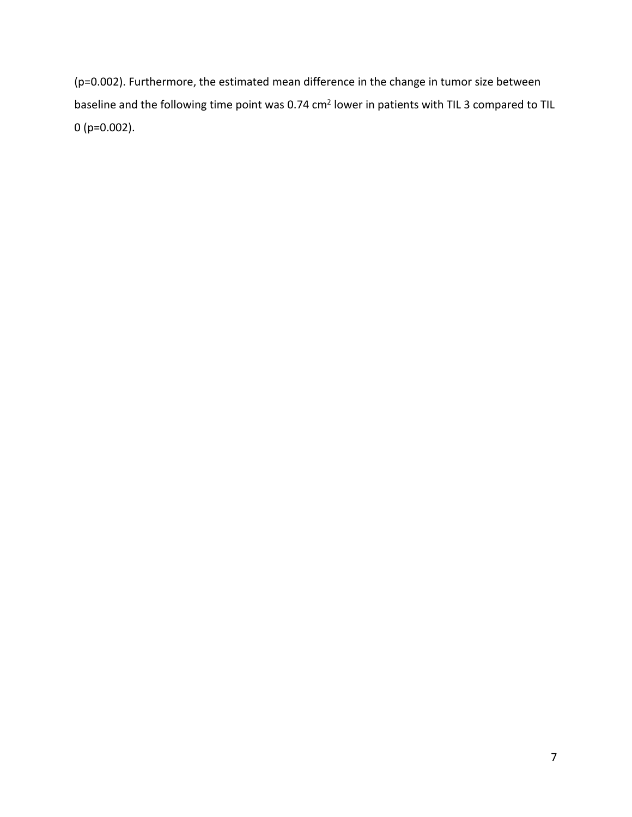(p=0.002). Furthermore, the estimated mean difference in the change in tumor size between baseline and the following time point was 0.74 cm<sup>2</sup> lower in patients with TIL 3 compared to TIL 0 (p=0.002).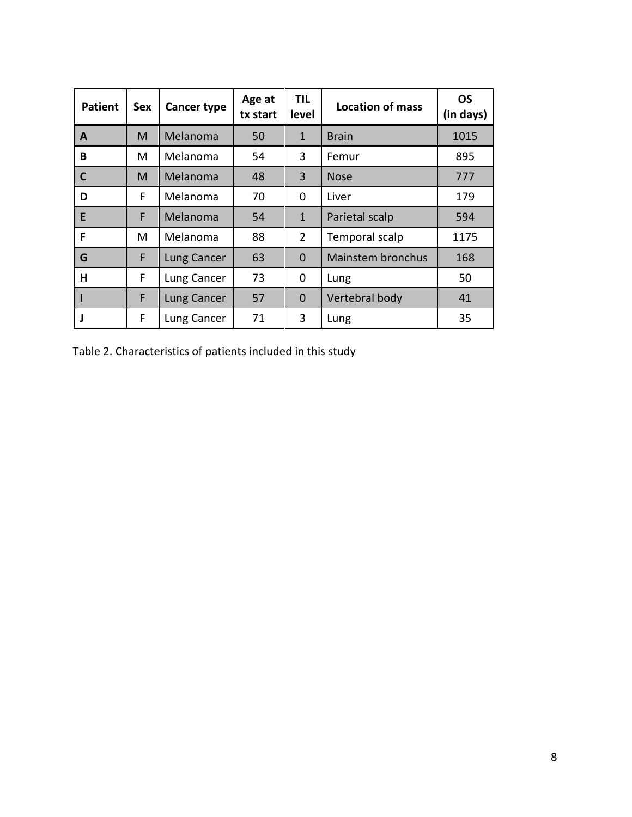| <b>Patient</b> | <b>Sex</b> | <b>Cancer type</b> | Age at<br>tx start | TIL.<br>level  | <b>Location of mass</b>  | <b>OS</b><br>(in days) |
|----------------|------------|--------------------|--------------------|----------------|--------------------------|------------------------|
| A              | M          | Melanoma           | 50                 | $\mathbf{1}$   | <b>Brain</b>             | 1015                   |
| B              | м          | Melanoma           | 54                 | 3              | Femur                    | 895                    |
| $\mathsf{C}$   | M          | Melanoma           | 48                 | $\overline{3}$ | <b>Nose</b>              | 777                    |
| D              | F          | Melanoma           | 70                 | 0              | Liver                    | 179                    |
| E              | F          | Melanoma           | 54                 | $\mathbf{1}$   | Parietal scalp           | 594                    |
| F              | м          | Melanoma           | 88                 | $\overline{2}$ | Temporal scalp           | 1175                   |
| G              | F          | Lung Cancer        | 63                 | $\Omega$       | <b>Mainstem bronchus</b> | 168                    |
| н              | F          | Lung Cancer        | 73                 | 0              | Lung                     | 50                     |
|                | F          | Lung Cancer        | 57                 | $\mathbf 0$    | Vertebral body           | 41                     |
|                | F          | Lung Cancer        | 71                 | 3              | Lung                     | 35                     |

Table 2. Characteristics of patients included in this study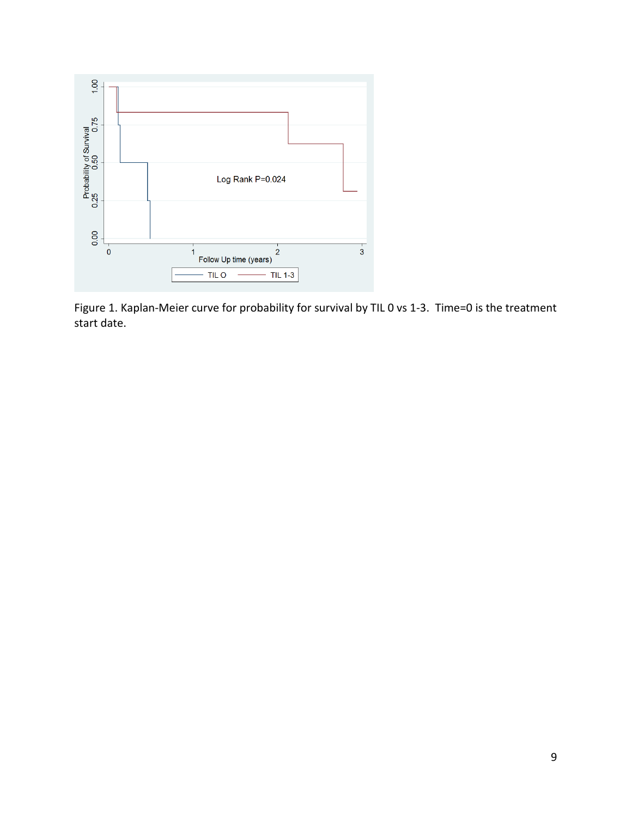

Figure 1. Kaplan-Meier curve for probability for survival by TIL 0 vs 1-3. Time=0 is the treatment start date.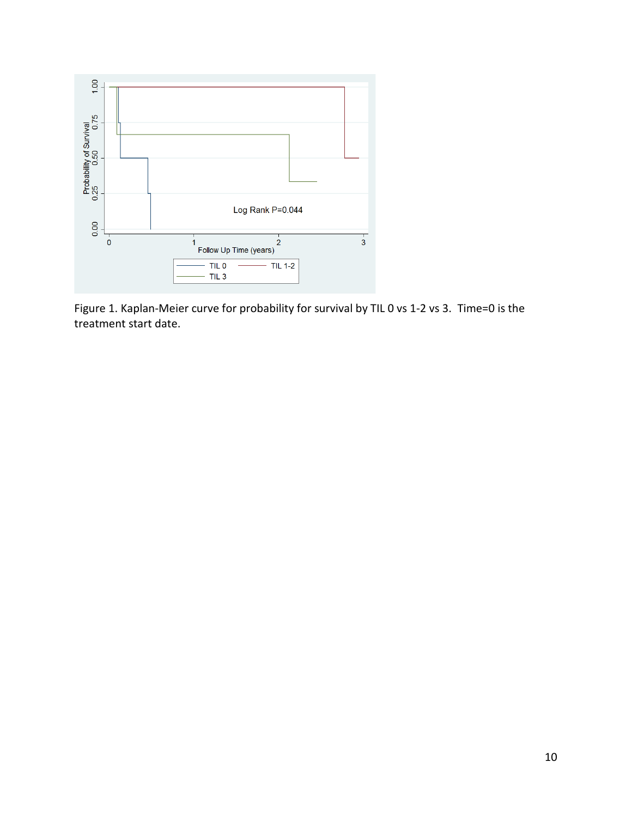

Figure 1. Kaplan-Meier curve for probability for survival by TIL 0 vs 1-2 vs 3. Time=0 is the treatment start date.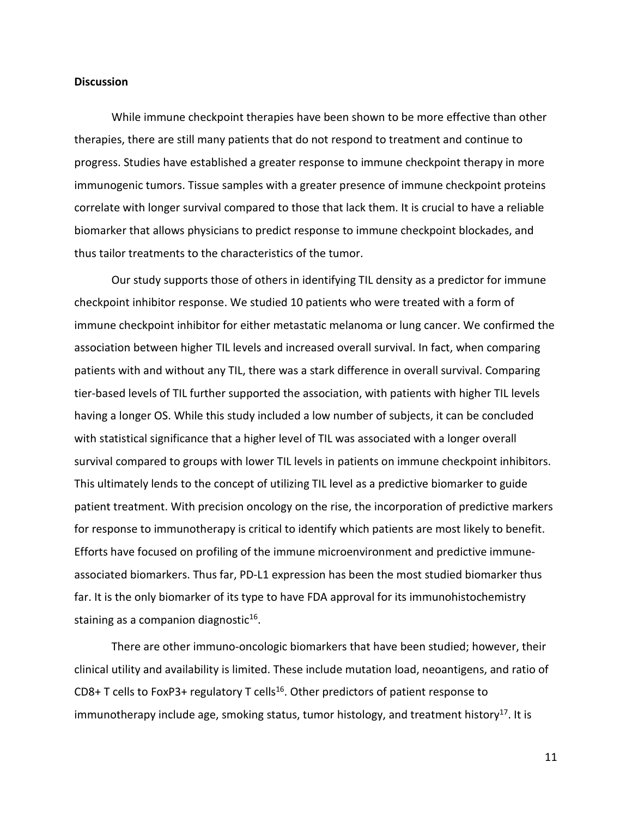#### **Discussion**

While immune checkpoint therapies have been shown to be more effective than other therapies, there are still many patients that do not respond to treatment and continue to progress. Studies have established a greater response to immune checkpoint therapy in more immunogenic tumors. Tissue samples with a greater presence of immune checkpoint proteins correlate with longer survival compared to those that lack them. It is crucial to have a reliable biomarker that allows physicians to predict response to immune checkpoint blockades, and thus tailor treatments to the characteristics of the tumor.

Our study supports those of others in identifying TIL density as a predictor for immune checkpoint inhibitor response. We studied 10 patients who were treated with a form of immune checkpoint inhibitor for either metastatic melanoma or lung cancer. We confirmed the association between higher TIL levels and increased overall survival. In fact, when comparing patients with and without any TIL, there was a stark difference in overall survival. Comparing tier-based levels of TIL further supported the association, with patients with higher TIL levels having a longer OS. While this study included a low number of subjects, it can be concluded with statistical significance that a higher level of TIL was associated with a longer overall survival compared to groups with lower TIL levels in patients on immune checkpoint inhibitors. This ultimately lends to the concept of utilizing TIL level as a predictive biomarker to guide patient treatment. With precision oncology on the rise, the incorporation of predictive markers for response to immunotherapy is critical to identify which patients are most likely to benefit. Efforts have focused on profiling of the immune microenvironment and predictive immuneassociated biomarkers. Thus far, PD-L1 expression has been the most studied biomarker thus far. It is the only biomarker of its type to have FDA approval for its immunohistochemistry staining as a companion diagnostic $16$ .

There are other immuno-oncologic biomarkers that have been studied; however, their clinical utility and availability is limited. These include mutation load, neoantigens, and ratio of CD8+ T cells to FoxP3+ regulatory T cells<sup>16</sup>. Other predictors of patient response to immunotherapy include age, smoking status, tumor histology, and treatment history<sup>17</sup>. It is

11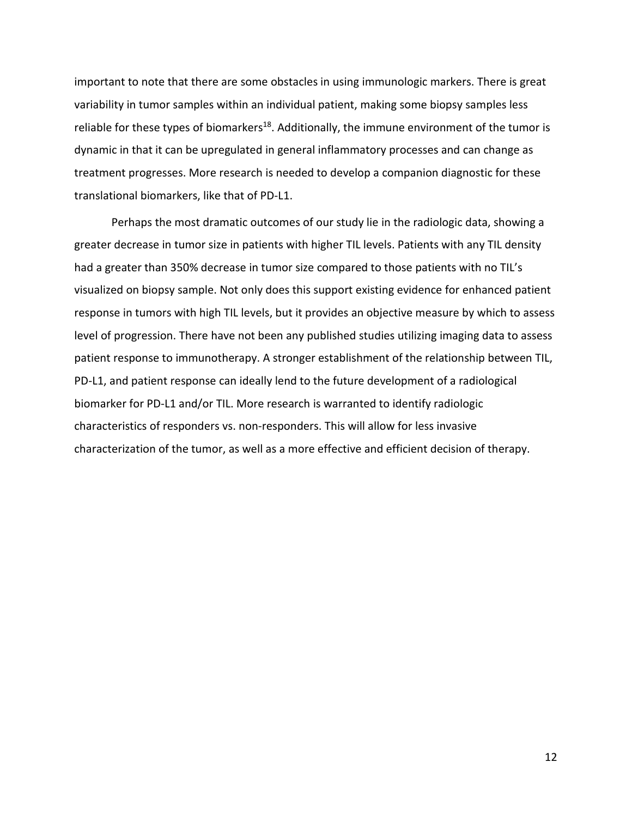important to note that there are some obstacles in using immunologic markers. There is great variability in tumor samples within an individual patient, making some biopsy samples less reliable for these types of biomarkers<sup>18</sup>. Additionally, the immune environment of the tumor is dynamic in that it can be upregulated in general inflammatory processes and can change as treatment progresses. More research is needed to develop a companion diagnostic for these translational biomarkers, like that of PD-L1.

Perhaps the most dramatic outcomes of our study lie in the radiologic data, showing a greater decrease in tumor size in patients with higher TIL levels. Patients with any TIL density had a greater than 350% decrease in tumor size compared to those patients with no TIL's visualized on biopsy sample. Not only does this support existing evidence for enhanced patient response in tumors with high TIL levels, but it provides an objective measure by which to assess level of progression. There have not been any published studies utilizing imaging data to assess patient response to immunotherapy. A stronger establishment of the relationship between TIL, PD-L1, and patient response can ideally lend to the future development of a radiological biomarker for PD-L1 and/or TIL. More research is warranted to identify radiologic characteristics of responders vs. non-responders. This will allow for less invasive characterization of the tumor, as well as a more effective and efficient decision of therapy.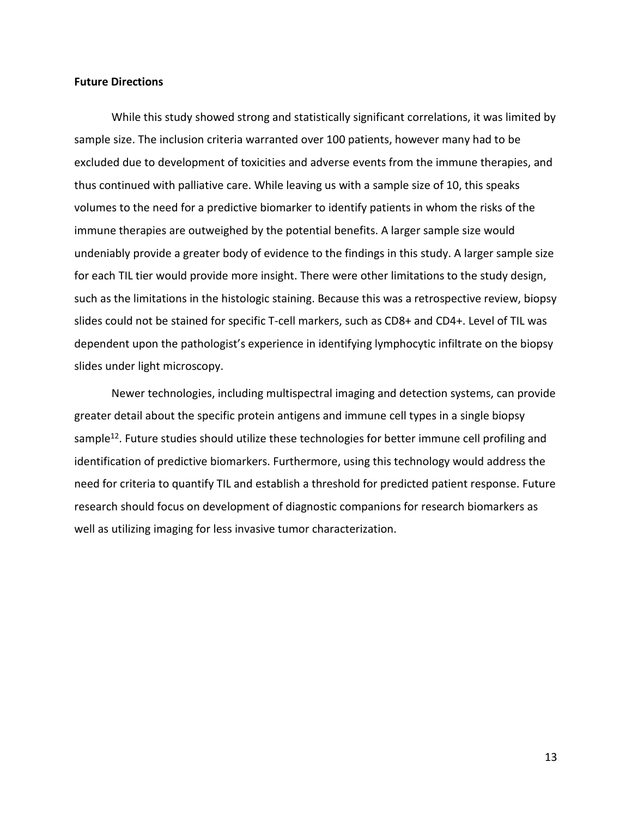#### **Future Directions**

While this study showed strong and statistically significant correlations, it was limited by sample size. The inclusion criteria warranted over 100 patients, however many had to be excluded due to development of toxicities and adverse events from the immune therapies, and thus continued with palliative care. While leaving us with a sample size of 10, this speaks volumes to the need for a predictive biomarker to identify patients in whom the risks of the immune therapies are outweighed by the potential benefits. A larger sample size would undeniably provide a greater body of evidence to the findings in this study. A larger sample size for each TIL tier would provide more insight. There were other limitations to the study design, such as the limitations in the histologic staining. Because this was a retrospective review, biopsy slides could not be stained for specific T-cell markers, such as CD8+ and CD4+. Level of TIL was dependent upon the pathologist's experience in identifying lymphocytic infiltrate on the biopsy slides under light microscopy.

Newer technologies, including multispectral imaging and detection systems, can provide greater detail about the specific protein antigens and immune cell types in a single biopsy sample<sup>12</sup>. Future studies should utilize these technologies for better immune cell profiling and identification of predictive biomarkers. Furthermore, using this technology would address the need for criteria to quantify TIL and establish a threshold for predicted patient response. Future research should focus on development of diagnostic companions for research biomarkers as well as utilizing imaging for less invasive tumor characterization.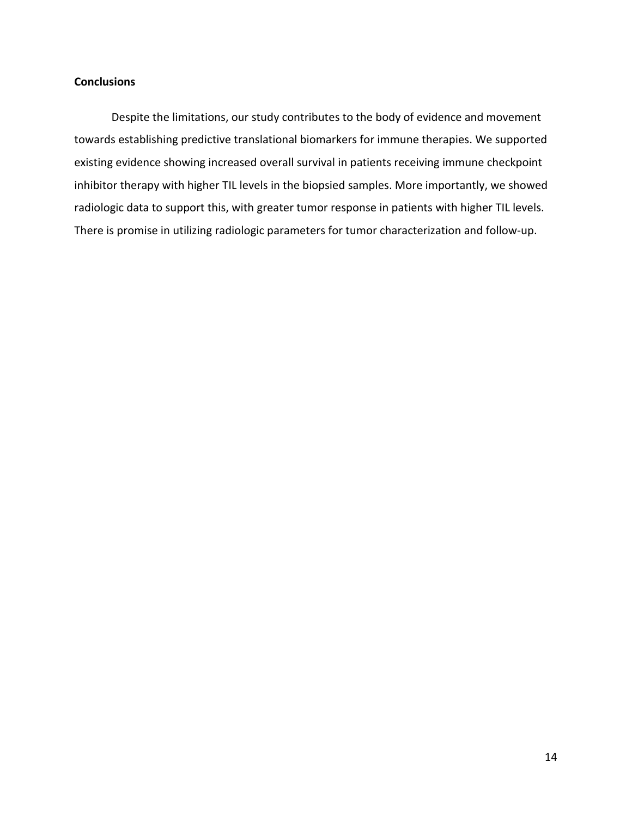## **Conclusions**

Despite the limitations, our study contributes to the body of evidence and movement towards establishing predictive translational biomarkers for immune therapies. We supported existing evidence showing increased overall survival in patients receiving immune checkpoint inhibitor therapy with higher TIL levels in the biopsied samples. More importantly, we showed radiologic data to support this, with greater tumor response in patients with higher TIL levels. There is promise in utilizing radiologic parameters for tumor characterization and follow-up.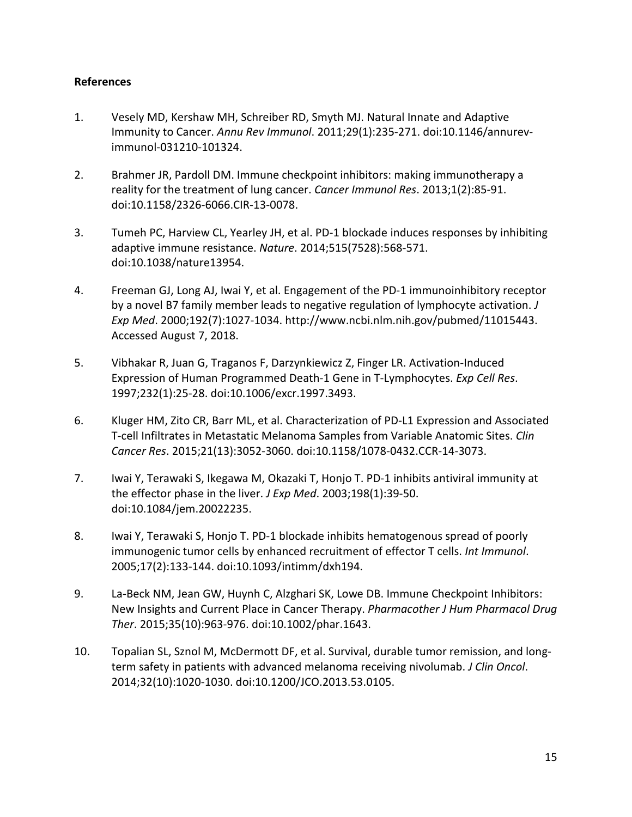## **References**

- 1. Vesely MD, Kershaw MH, Schreiber RD, Smyth MJ. Natural Innate and Adaptive Immunity to Cancer. *Annu Rev Immunol*. 2011;29(1):235-271. doi:10.1146/annurevimmunol-031210-101324.
- 2. Brahmer JR, Pardoll DM. Immune checkpoint inhibitors: making immunotherapy a reality for the treatment of lung cancer. *Cancer Immunol Res*. 2013;1(2):85-91. doi:10.1158/2326-6066.CIR-13-0078.
- 3. Tumeh PC, Harview CL, Yearley JH, et al. PD-1 blockade induces responses by inhibiting adaptive immune resistance. *Nature*. 2014;515(7528):568-571. doi:10.1038/nature13954.
- 4. Freeman GJ, Long AJ, Iwai Y, et al. Engagement of the PD-1 immunoinhibitory receptor by a novel B7 family member leads to negative regulation of lymphocyte activation. *J Exp Med*. 2000;192(7):1027-1034. http://www.ncbi.nlm.nih.gov/pubmed/11015443. Accessed August 7, 2018.
- 5. Vibhakar R, Juan G, Traganos F, Darzynkiewicz Z, Finger LR. Activation-Induced Expression of Human Programmed Death-1 Gene in T-Lymphocytes. *Exp Cell Res*. 1997;232(1):25-28. doi:10.1006/excr.1997.3493.
- 6. Kluger HM, Zito CR, Barr ML, et al. Characterization of PD-L1 Expression and Associated T-cell Infiltrates in Metastatic Melanoma Samples from Variable Anatomic Sites. *Clin Cancer Res*. 2015;21(13):3052-3060. doi:10.1158/1078-0432.CCR-14-3073.
- 7. Iwai Y, Terawaki S, Ikegawa M, Okazaki T, Honjo T. PD-1 inhibits antiviral immunity at the effector phase in the liver. *J Exp Med*. 2003;198(1):39-50. doi:10.1084/jem.20022235.
- 8. Iwai Y, Terawaki S, Honjo T. PD-1 blockade inhibits hematogenous spread of poorly immunogenic tumor cells by enhanced recruitment of effector T cells. *Int Immunol*. 2005;17(2):133-144. doi:10.1093/intimm/dxh194.
- 9. La-Beck NM, Jean GW, Huynh C, Alzghari SK, Lowe DB. Immune Checkpoint Inhibitors: New Insights and Current Place in Cancer Therapy. *Pharmacother J Hum Pharmacol Drug Ther*. 2015;35(10):963-976. doi:10.1002/phar.1643.
- 10. Topalian SL, Sznol M, McDermott DF, et al. Survival, durable tumor remission, and longterm safety in patients with advanced melanoma receiving nivolumab. *J Clin Oncol*. 2014;32(10):1020-1030. doi:10.1200/JCO.2013.53.0105.